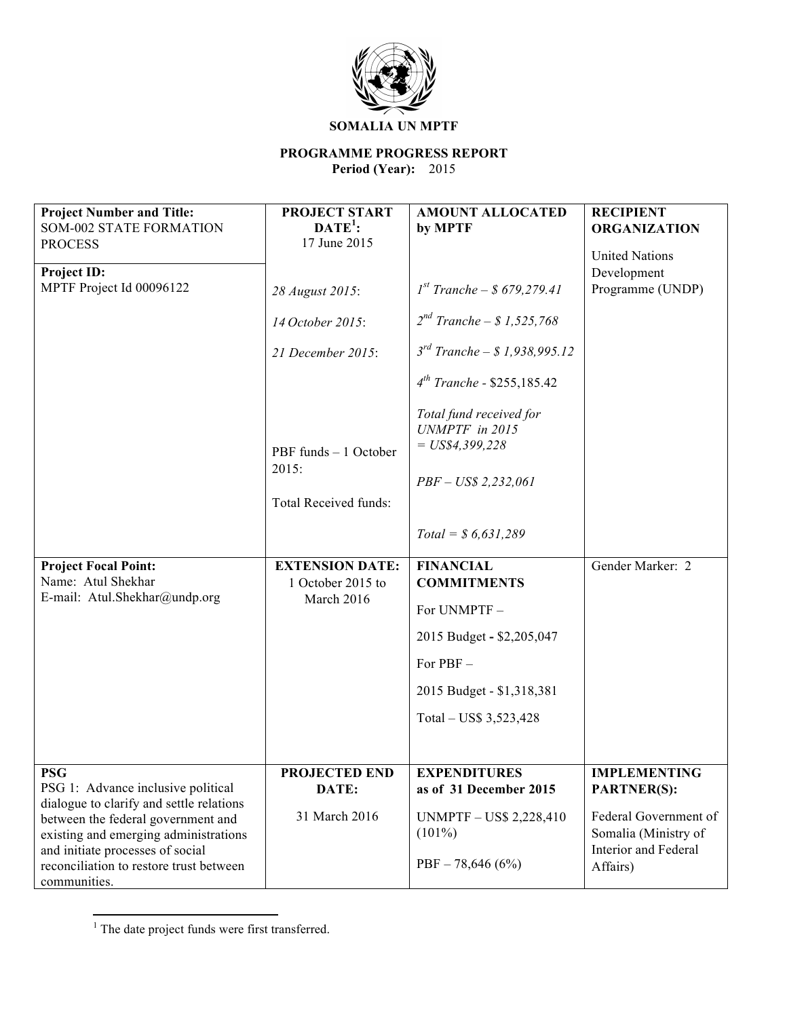

# **SOMALIA UN MPTF**

# **PROGRAMME PROGRESS REPORT**

**Period (Year):** 2015

| <b>Project Number and Title:</b><br><b>SOM-002 STATE FORMATION</b><br><b>PROCESS</b>                            | <b>PROJECT START</b><br>$\mathbf{DATE}^1$ :<br>17 June 2015 | <b>AMOUNT ALLOCATED</b><br>by MPTF                                                     | <b>RECIPIENT</b><br><b>ORGANIZATION</b>                               |
|-----------------------------------------------------------------------------------------------------------------|-------------------------------------------------------------|----------------------------------------------------------------------------------------|-----------------------------------------------------------------------|
| Project ID:<br>MPTF Project Id 00096122                                                                         | 28 August 2015:                                             | $I^{st}$ Tranche – \$ 679,279.41                                                       | <b>United Nations</b><br>Development<br>Programme (UNDP)              |
|                                                                                                                 | 14 October 2015:                                            | $2^{nd}$ Tranche – \$ 1,525,768                                                        |                                                                       |
|                                                                                                                 | 21 December 2015:                                           | $3^{rd}$ Tranche – \$1,938,995.12                                                      |                                                                       |
|                                                                                                                 |                                                             | $4^{th}$ Tranche - \$255,185.42                                                        |                                                                       |
|                                                                                                                 | PBF funds - 1 October<br>2015:<br>Total Received funds:     | Total fund received for<br>UNMPTF in 2015<br>$= US$4,399,228$<br>$PBF - US$ 2,232,061$ |                                                                       |
|                                                                                                                 |                                                             | $Total = $6,631,289$                                                                   |                                                                       |
| <b>Project Focal Point:</b><br>Name: Atul Shekhar                                                               | <b>EXTENSION DATE:</b><br>1 October 2015 to                 | <b>FINANCIAL</b><br><b>COMMITMENTS</b>                                                 | Gender Marker: 2                                                      |
| E-mail: Atul.Shekhar@undp.org                                                                                   | March 2016                                                  | For UNMPTF-                                                                            |                                                                       |
|                                                                                                                 |                                                             | 2015 Budget - \$2,205,047                                                              |                                                                       |
|                                                                                                                 |                                                             | For PBF-                                                                               |                                                                       |
|                                                                                                                 |                                                             | 2015 Budget - \$1,318,381                                                              |                                                                       |
|                                                                                                                 |                                                             | Total – US\$ 3,523,428                                                                 |                                                                       |
|                                                                                                                 |                                                             |                                                                                        |                                                                       |
| <b>PSG</b><br>PSG 1: Advance inclusive political<br>dialogue to clarify and settle relations                    | <b>PROJECTED END</b><br>DATE:                               | <b>EXPENDITURES</b><br>as of 31 December 2015                                          | <b>IMPLEMENTING</b><br><b>PARTNER(S):</b>                             |
| between the federal government and<br>existing and emerging administrations<br>and initiate processes of social | 31 March 2016                                               | <b>UNMPTF-US\$ 2,228,410</b><br>$(101\%)$                                              | Federal Government of<br>Somalia (Ministry of<br>Interior and Federal |
| reconciliation to restore trust between<br>communities.                                                         |                                                             | $PBF - 78,646(6%)$                                                                     | Affairs)                                                              |

<sup>&</sup>lt;u> 1989 - Jan Samuel Barbara, margaret e</u> <sup>1</sup> The date project funds were first transferred.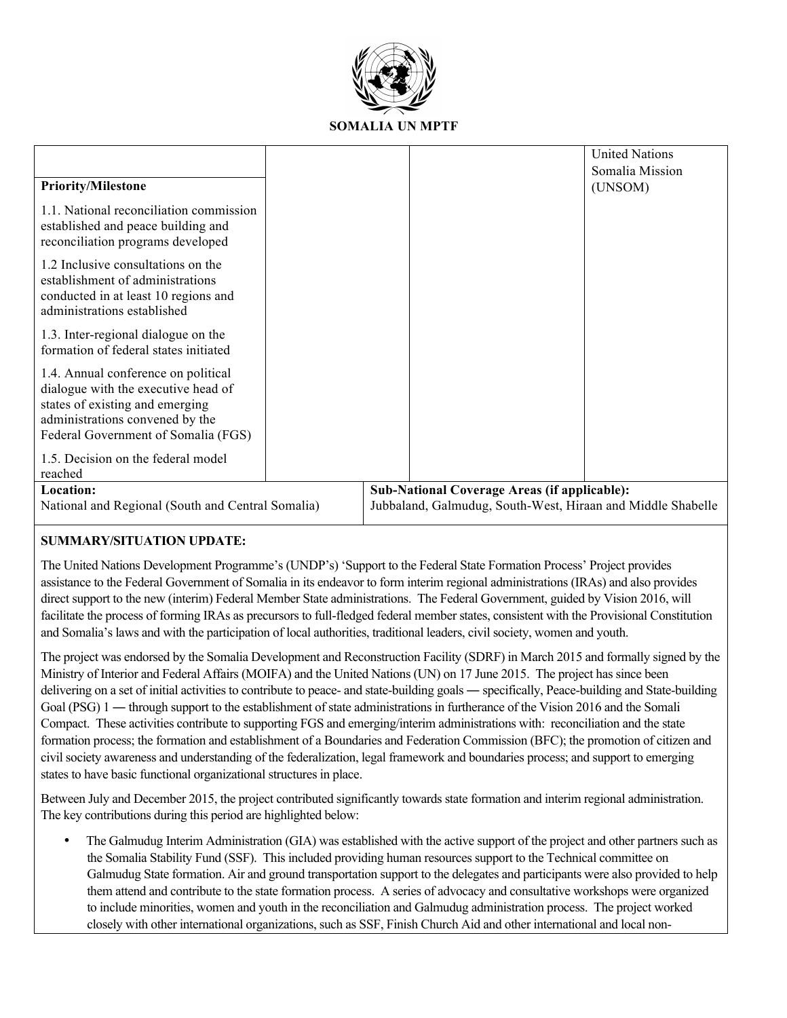

|                                                                                                                                                                                         |  |                                                             |                                                     | <b>United Nations</b> |
|-----------------------------------------------------------------------------------------------------------------------------------------------------------------------------------------|--|-------------------------------------------------------------|-----------------------------------------------------|-----------------------|
|                                                                                                                                                                                         |  |                                                             |                                                     | Somalia Mission       |
| <b>Priority/Milestone</b>                                                                                                                                                               |  |                                                             |                                                     | (UNSOM)               |
| 1.1. National reconciliation commission<br>established and peace building and<br>reconciliation programs developed                                                                      |  |                                                             |                                                     |                       |
| 1.2 Inclusive consultations on the<br>establishment of administrations<br>conducted in at least 10 regions and<br>administrations established                                           |  |                                                             |                                                     |                       |
| 1.3. Inter-regional dialogue on the<br>formation of federal states initiated                                                                                                            |  |                                                             |                                                     |                       |
| 1.4. Annual conference on political<br>dialogue with the executive head of<br>states of existing and emerging<br>administrations convened by the<br>Federal Government of Somalia (FGS) |  |                                                             |                                                     |                       |
| 1.5. Decision on the federal model<br>reached                                                                                                                                           |  |                                                             |                                                     |                       |
| Location:                                                                                                                                                                               |  |                                                             | <b>Sub-National Coverage Areas (if applicable):</b> |                       |
| National and Regional (South and Central Somalia)                                                                                                                                       |  | Jubbaland, Galmudug, South-West, Hiraan and Middle Shabelle |                                                     |                       |

# **SUMMARY/SITUATION UPDATE:**

The United Nations Development Programme's (UNDP's) 'Support to the Federal State Formation Process' Project provides assistance to the Federal Government of Somalia in its endeavor to form interim regional administrations (IRAs) and also provides direct support to the new (interim) Federal Member State administrations. The Federal Government, guided by Vision 2016, will facilitate the process of forming IRAs as precursors to full-fledged federal member states, consistent with the Provisional Constitution and Somalia's laws and with the participation of local authorities, traditional leaders, civil society, women and youth.

The project was endorsed by the Somalia Development and Reconstruction Facility (SDRF) in March 2015 and formally signed by the Ministry of Interior and Federal Affairs (MOIFA) and the United Nations (UN) on 17 June 2015. The project has since been delivering on a set of initial activities to contribute to peace- and state-building goals ― specifically, Peace-building and State-building Goal (PSG) 1 — through support to the establishment of state administrations in furtherance of the Vision 2016 and the Somali Compact. These activities contribute to supporting FGS and emerging/interim administrations with: reconciliation and the state formation process; the formation and establishment of a Boundaries and Federation Commission (BFC); the promotion of citizen and civil society awareness and understanding of the federalization, legal framework and boundaries process; and support to emerging states to have basic functional organizational structures in place.

Between July and December 2015, the project contributed significantly towards state formation and interim regional administration. The key contributions during this period are highlighted below:

• The Galmudug Interim Administration (GIA) was established with the active support of the project and other partners such as the Somalia Stability Fund (SSF). This included providing human resources support to the Technical committee on Galmudug State formation. Air and ground transportation support to the delegates and participants were also provided to help them attend and contribute to the state formation process. A series of advocacy and consultative workshops were organized to include minorities, women and youth in the reconciliation and Galmudug administration process. The project worked closely with other international organizations, such as SSF, Finish Church Aid and other international and local non-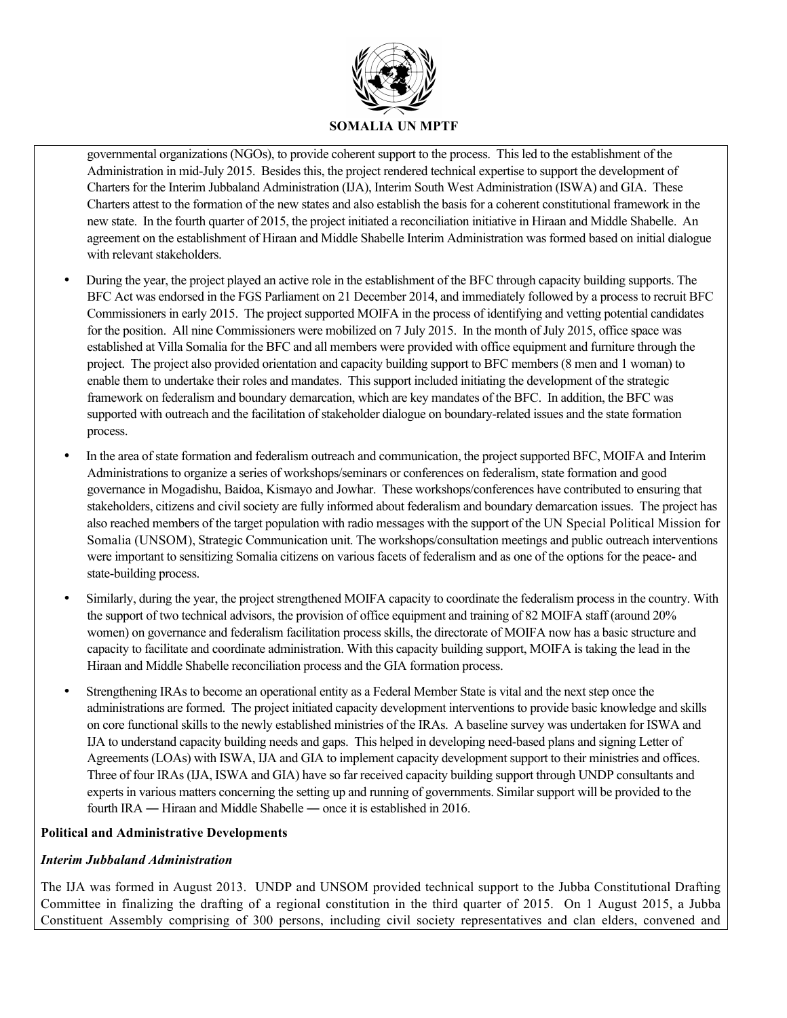

governmental organizations (NGOs), to provide coherent support to the process. This led to the establishment of the Administration in mid-July 2015. Besides this, the project rendered technical expertise to support the development of Charters for the Interim Jubbaland Administration (IJA), Interim South West Administration (ISWA) and GIA. These Charters attest to the formation of the new states and also establish the basis for a coherent constitutional framework in the new state. In the fourth quarter of 2015, the project initiated a reconciliation initiative in Hiraan and Middle Shabelle. An agreement on the establishment of Hiraan and Middle Shabelle Interim Administration was formed based on initial dialogue with relevant stakeholders.

- During the year, the project played an active role in the establishment of the BFC through capacity building supports. The BFC Act was endorsed in the FGS Parliament on 21 December 2014, and immediately followed by a process to recruit BFC Commissioners in early 2015. The project supported MOIFA in the process of identifying and vetting potential candidates for the position. All nine Commissioners were mobilized on 7 July 2015. In the month of July 2015, office space was established at Villa Somalia for the BFC and all members were provided with office equipment and furniture through the project. The project also provided orientation and capacity building support to BFC members (8 men and 1 woman) to enable them to undertake their roles and mandates. This support included initiating the development of the strategic framework on federalism and boundary demarcation, which are key mandates of the BFC. In addition, the BFC was supported with outreach and the facilitation of stakeholder dialogue on boundary-related issues and the state formation process.
- In the area of state formation and federalism outreach and communication, the project supported BFC, MOIFA and Interim Administrations to organize a series of workshops/seminars or conferences on federalism, state formation and good governance in Mogadishu, Baidoa, Kismayo and Jowhar. These workshops/conferences have contributed to ensuring that stakeholders, citizens and civil society are fully informed about federalism and boundary demarcation issues. The project has also reached members of the target population with radio messages with the support of the UN Special Political Mission for Somalia (UNSOM), Strategic Communication unit. The workshops/consultation meetings and public outreach interventions were important to sensitizing Somalia citizens on various facets of federalism and as one of the options for the peace- and state-building process.
- Similarly, during the year, the project strengthened MOIFA capacity to coordinate the federalism process in the country. With the support of two technical advisors, the provision of office equipment and training of 82 MOIFA staff (around 20% women) on governance and federalism facilitation process skills, the directorate of MOIFA now has a basic structure and capacity to facilitate and coordinate administration. With this capacity building support, MOIFA is taking the lead in the Hiraan and Middle Shabelle reconciliation process and the GIA formation process.
- Strengthening IRAs to become an operational entity as a Federal Member State is vital and the next step once the administrations are formed. The project initiated capacity development interventions to provide basic knowledge and skills on core functional skills to the newly established ministries of the IRAs. A baseline survey was undertaken for ISWA and IJA to understand capacity building needs and gaps. This helped in developing need-based plans and signing Letter of Agreements (LOAs) with ISWA, IJA and GIA to implement capacity development support to their ministries and offices. Three of four IRAs (IJA, ISWA and GIA) have so far received capacity building support through UNDP consultants and experts in various matters concerning the setting up and running of governments. Similar support will be provided to the fourth IRA ― Hiraan and Middle Shabelle ― once it is established in 2016.

# **Political and Administrative Developments**

# *Interim Jubbaland Administration*

The IJA was formed in August 2013. UNDP and UNSOM provided technical support to the Jubba Constitutional Drafting Committee in finalizing the drafting of a regional constitution in the third quarter of 2015. On 1 August 2015, a Jubba Constituent Assembly comprising of 300 persons, including civil society representatives and clan elders, convened and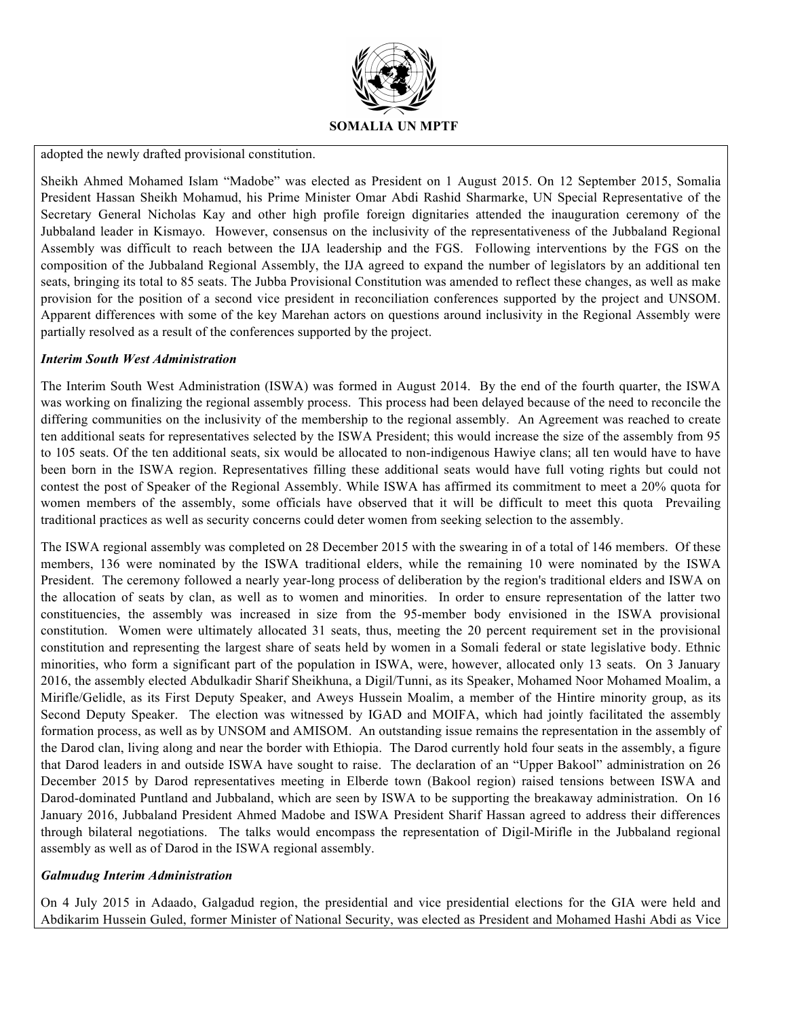

adopted the newly drafted provisional constitution.

Sheikh Ahmed Mohamed Islam "Madobe" was elected as President on 1 August 2015. On 12 September 2015, Somalia President Hassan Sheikh Mohamud, his Prime Minister Omar Abdi Rashid Sharmarke, UN Special Representative of the Secretary General Nicholas Kay and other high profile foreign dignitaries attended the inauguration ceremony of the Jubbaland leader in Kismayo. However, consensus on the inclusivity of the representativeness of the Jubbaland Regional Assembly was difficult to reach between the IJA leadership and the FGS. Following interventions by the FGS on the composition of the Jubbaland Regional Assembly, the IJA agreed to expand the number of legislators by an additional ten seats, bringing its total to 85 seats. The Jubba Provisional Constitution was amended to reflect these changes, as well as make provision for the position of a second vice president in reconciliation conferences supported by the project and UNSOM. Apparent differences with some of the key Marehan actors on questions around inclusivity in the Regional Assembly were partially resolved as a result of the conferences supported by the project.

#### *Interim South West Administration*

The Interim South West Administration (ISWA) was formed in August 2014. By the end of the fourth quarter, the ISWA was working on finalizing the regional assembly process. This process had been delayed because of the need to reconcile the differing communities on the inclusivity of the membership to the regional assembly. An Agreement was reached to create ten additional seats for representatives selected by the ISWA President; this would increase the size of the assembly from 95 to 105 seats. Of the ten additional seats, six would be allocated to non-indigenous Hawiye clans; all ten would have to have been born in the ISWA region. Representatives filling these additional seats would have full voting rights but could not contest the post of Speaker of the Regional Assembly. While ISWA has affirmed its commitment to meet a 20% quota for women members of the assembly, some officials have observed that it will be difficult to meet this quota Prevailing traditional practices as well as security concerns could deter women from seeking selection to the assembly.

The ISWA regional assembly was completed on 28 December 2015 with the swearing in of a total of 146 members. Of these members, 136 were nominated by the ISWA traditional elders, while the remaining 10 were nominated by the ISWA President. The ceremony followed a nearly year-long process of deliberation by the region's traditional elders and ISWA on the allocation of seats by clan, as well as to women and minorities. In order to ensure representation of the latter two constituencies, the assembly was increased in size from the 95-member body envisioned in the ISWA provisional constitution. Women were ultimately allocated 31 seats, thus, meeting the 20 percent requirement set in the provisional constitution and representing the largest share of seats held by women in a Somali federal or state legislative body. Ethnic minorities, who form a significant part of the population in ISWA, were, however, allocated only 13 seats. On 3 January 2016, the assembly elected Abdulkadir Sharif Sheikhuna, a Digil/Tunni, as its Speaker, Mohamed Noor Mohamed Moalim, a Mirifle/Gelidle, as its First Deputy Speaker, and Aweys Hussein Moalim, a member of the Hintire minority group, as its Second Deputy Speaker. The election was witnessed by IGAD and MOIFA, which had jointly facilitated the assembly formation process, as well as by UNSOM and AMISOM. An outstanding issue remains the representation in the assembly of the Darod clan, living along and near the border with Ethiopia. The Darod currently hold four seats in the assembly, a figure that Darod leaders in and outside ISWA have sought to raise. The declaration of an "Upper Bakool" administration on 26 December 2015 by Darod representatives meeting in Elberde town (Bakool region) raised tensions between ISWA and Darod-dominated Puntland and Jubbaland, which are seen by ISWA to be supporting the breakaway administration. On 16 January 2016, Jubbaland President Ahmed Madobe and ISWA President Sharif Hassan agreed to address their differences through bilateral negotiations. The talks would encompass the representation of Digil-Mirifle in the Jubbaland regional assembly as well as of Darod in the ISWA regional assembly.

# *Galmudug Interim Administration*

On 4 July 2015 in Adaado, Galgadud region, the presidential and vice presidential elections for the GIA were held and Abdikarim Hussein Guled, former Minister of National Security, was elected as President and Mohamed Hashi Abdi as Vice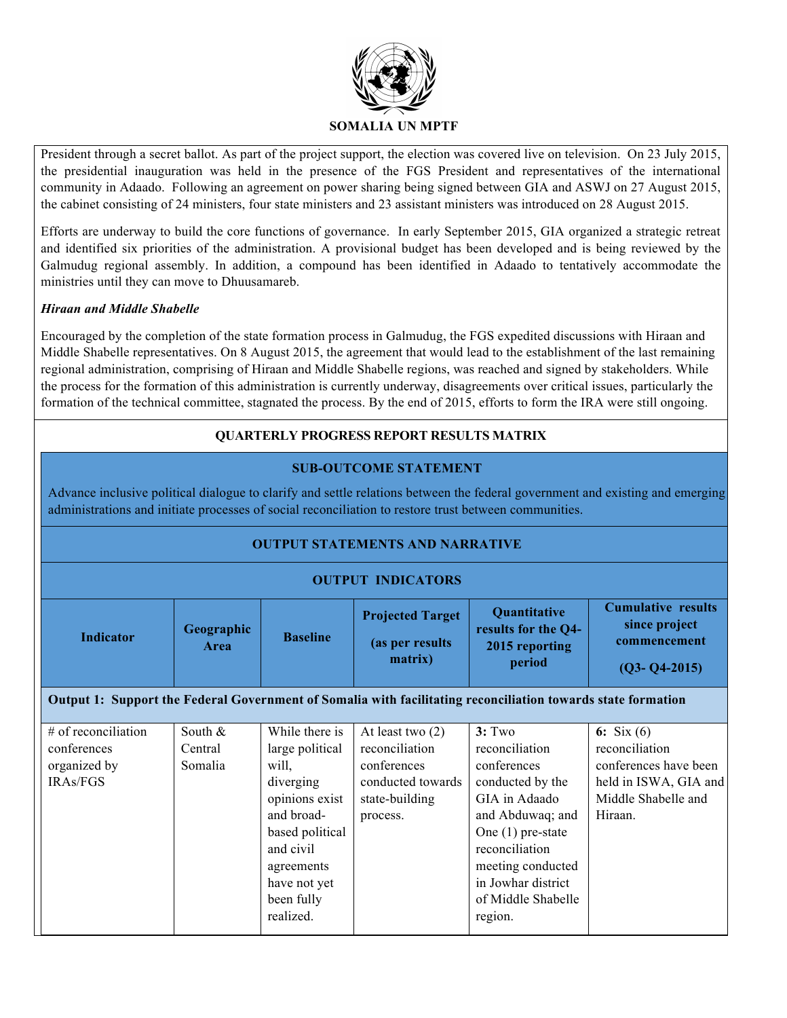

President through a secret ballot. As part of the project support, the election was covered live on television. On 23 July 2015, the presidential inauguration was held in the presence of the FGS President and representatives of the international community in Adaado. Following an agreement on power sharing being signed between GIA and ASWJ on 27 August 2015, the cabinet consisting of 24 ministers, four state ministers and 23 assistant ministers was introduced on 28 August 2015.

Efforts are underway to build the core functions of governance. In early September 2015, GIA organized a strategic retreat and identified six priorities of the administration. A provisional budget has been developed and is being reviewed by the Galmudug regional assembly. In addition, a compound has been identified in Adaado to tentatively accommodate the ministries until they can move to Dhuusamareb.

# *Hiraan and Middle Shabelle*

Encouraged by the completion of the state formation process in Galmudug, the FGS expedited discussions with Hiraan and Middle Shabelle representatives. On 8 August 2015, the agreement that would lead to the establishment of the last remaining regional administration, comprising of Hiraan and Middle Shabelle regions, was reached and signed by stakeholders. While the process for the formation of this administration is currently underway, disagreements over critical issues, particularly the formation of the technical committee, stagnated the process. By the end of 2015, efforts to form the IRA were still ongoing.

# **QUARTERLY PROGRESS REPORT RESULTS MATRIX**

# **SUB-OUTCOME STATEMENT**

Advance inclusive political dialogue to clarify and settle relations between the federal government and existing and emerging administrations and initiate processes of social reconciliation to restore trust between communities.

| <b>OUTPUT STATEMENTS AND NARRATIVE</b>                                                                       |                                  |                                                                                                                                                                                  |                                                                                                        |                                                                                                                                                                                                                       |                                                                                                                    |  |
|--------------------------------------------------------------------------------------------------------------|----------------------------------|----------------------------------------------------------------------------------------------------------------------------------------------------------------------------------|--------------------------------------------------------------------------------------------------------|-----------------------------------------------------------------------------------------------------------------------------------------------------------------------------------------------------------------------|--------------------------------------------------------------------------------------------------------------------|--|
| <b>OUTPUT INDICATORS</b>                                                                                     |                                  |                                                                                                                                                                                  |                                                                                                        |                                                                                                                                                                                                                       |                                                                                                                    |  |
| <b>Indicator</b>                                                                                             | Geographic<br>Area               | <b>Baseline</b>                                                                                                                                                                  | <b>Projected Target</b><br>(as per results<br>matrix)                                                  | Quantitative<br>results for the Q4-<br>2015 reporting<br>period                                                                                                                                                       | <b>Cumulative results</b><br>since project<br>commencement<br>$(Q3 - Q4 - 2015)$                                   |  |
| Output 1: Support the Federal Government of Somalia with facilitating reconciliation towards state formation |                                  |                                                                                                                                                                                  |                                                                                                        |                                                                                                                                                                                                                       |                                                                                                                    |  |
| # of reconciliation<br>conferences<br>organized by<br><b>IRAs/FGS</b>                                        | South $\&$<br>Central<br>Somalia | While there is<br>large political<br>will,<br>diverging<br>opinions exist<br>and broad-<br>based political<br>and civil<br>agreements<br>have not yet<br>been fully<br>realized. | At least two $(2)$<br>reconciliation<br>conferences<br>conducted towards<br>state-building<br>process. | 3: Two<br>reconciliation<br>conferences<br>conducted by the<br>GIA in Adaado<br>and Abduwaq; and<br>One $(1)$ pre-state<br>reconciliation<br>meeting conducted<br>in Jowhar district<br>of Middle Shabelle<br>region. | 6: $Six (6)$<br>reconciliation<br>conferences have been<br>held in ISWA, GIA and<br>Middle Shabelle and<br>Hiraan. |  |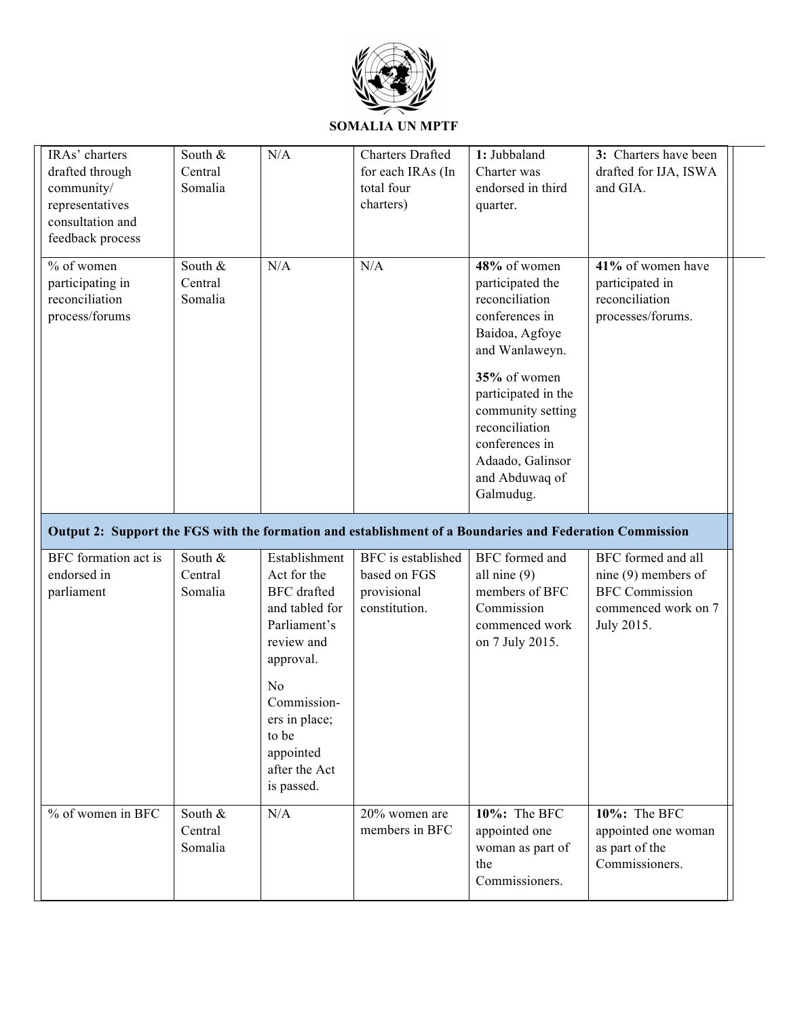

| IRAs' charters<br>drafted through<br>community/<br>representatives<br>consultation and<br>feedback process | South &<br>Central<br>Somalia | N/A                                                                                                              | <b>Charters Drafted</b><br>for each IRAs (In<br>total four<br>charters) | 1: Jubbaland<br>Charter was<br>endorsed in third<br>quarter.                                                                                                                                                                                                | 3: Charters have been<br>drafted for IJA, ISWA<br>and GIA.                                                |
|------------------------------------------------------------------------------------------------------------|-------------------------------|------------------------------------------------------------------------------------------------------------------|-------------------------------------------------------------------------|-------------------------------------------------------------------------------------------------------------------------------------------------------------------------------------------------------------------------------------------------------------|-----------------------------------------------------------------------------------------------------------|
| % of women<br>participating in<br>reconciliation<br>process/forums                                         | South &<br>Central<br>Somalia | N/A                                                                                                              | N/A                                                                     | 48% of women<br>participated the<br>reconciliation<br>conferences in<br>Baidoa, Agfoye<br>and Wanlaweyn.<br>35% of women<br>participated in the<br>community setting<br>reconciliation<br>conferences in<br>Adaado, Galinsor<br>and Abduwaq of<br>Galmudug. | 41% of women have<br>participated in<br>reconciliation<br>processes/forums.                               |
| Output 2: Support the FGS with the formation and establishment of a Boundaries and Federation Commission   |                               |                                                                                                                  |                                                                         |                                                                                                                                                                                                                                                             |                                                                                                           |
| BFC formation act is<br>endorsed in<br>parliament                                                          | South &<br>Central<br>Somalia | Establishment<br>Act for the<br><b>BFC</b> drafted<br>and tabled for<br>Parliament's<br>review and               | BFC is established<br>based on FGS<br>provisional<br>constitution.      | BFC formed and<br>all nine $(9)$<br>members of BFC<br>Commission<br>commenced work<br>on 7 July 2015.                                                                                                                                                       | BFC formed and all<br>nine $(9)$ members of<br><b>BFC</b> Commission<br>commenced work on 7<br>July 2015. |
|                                                                                                            |                               | approval.<br>N <sub>o</sub><br>Commission-<br>ers in place;<br>to be<br>appointed<br>after the Act<br>is passed. |                                                                         |                                                                                                                                                                                                                                                             |                                                                                                           |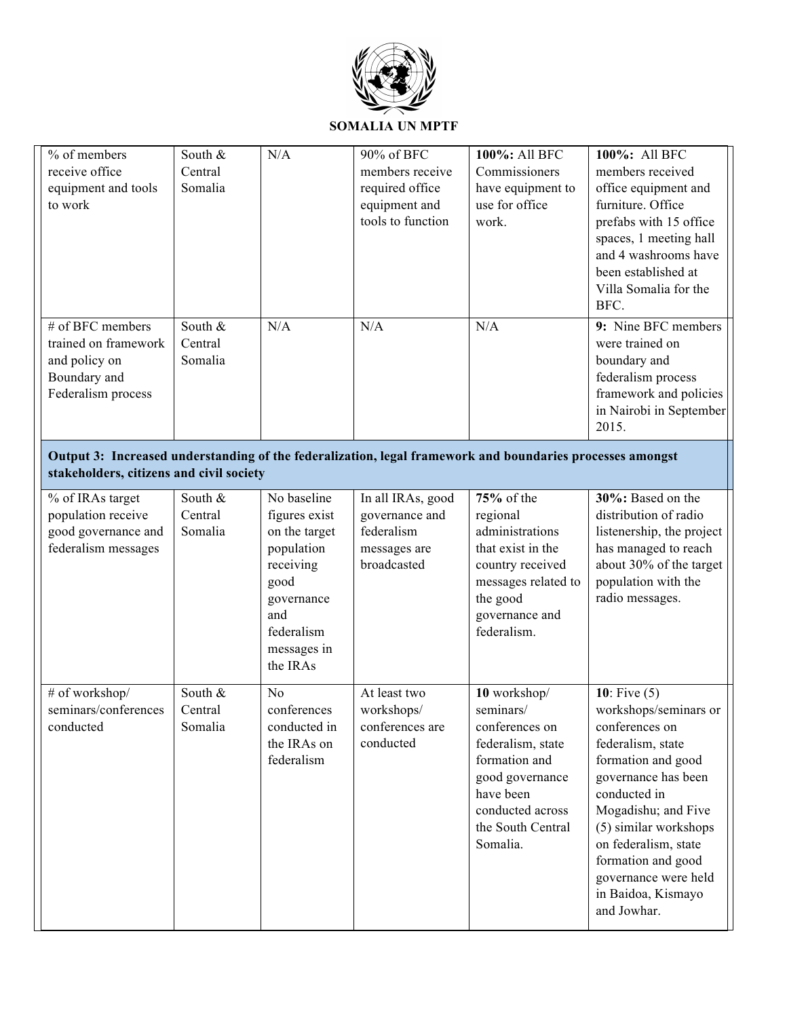

# **SOMALIA UN MPTF**

| % of members<br>receive office<br>equipment and tools<br>to work                                                                                      | South &<br>Central<br>Somalia | N/A                                                                                                                                            | 90% of BFC<br>members receive<br>required office<br>equipment and<br>tools to function | 100%: All BFC<br>Commissioners<br>have equipment to<br>use for office<br>work.                                                                                         | 100%: All BFC<br>members received<br>office equipment and<br>furniture. Office<br>prefabs with 15 office<br>spaces, 1 meeting hall<br>and 4 washrooms have<br>been established at<br>Villa Somalia for the<br>BFC.                                                                                     |
|-------------------------------------------------------------------------------------------------------------------------------------------------------|-------------------------------|------------------------------------------------------------------------------------------------------------------------------------------------|----------------------------------------------------------------------------------------|------------------------------------------------------------------------------------------------------------------------------------------------------------------------|--------------------------------------------------------------------------------------------------------------------------------------------------------------------------------------------------------------------------------------------------------------------------------------------------------|
| # of BFC members<br>trained on framework<br>and policy on<br>Boundary and<br>Federalism process                                                       | South &<br>Central<br>Somalia | N/A                                                                                                                                            | N/A                                                                                    | N/A                                                                                                                                                                    | 9: Nine BFC members<br>were trained on<br>boundary and<br>federalism process<br>framework and policies<br>in Nairobi in September<br>2015.                                                                                                                                                             |
| Output 3: Increased understanding of the federalization, legal framework and boundaries processes amongst<br>stakeholders, citizens and civil society |                               |                                                                                                                                                |                                                                                        |                                                                                                                                                                        |                                                                                                                                                                                                                                                                                                        |
| % of IRAs target<br>population receive<br>good governance and<br>federalism messages                                                                  | South &<br>Central<br>Somalia | No baseline<br>figures exist<br>on the target<br>population<br>receiving<br>good<br>governance<br>and<br>federalism<br>messages in<br>the IRAs | In all IRAs, good<br>governance and<br>federalism<br>messages are<br>broadcasted       | 75% of the<br>regional<br>administrations<br>that exist in the<br>country received<br>messages related to<br>the good<br>governance and<br>federalism.                 | 30%: Based on the<br>distribution of radio<br>listenership, the project<br>has managed to reach<br>about 30% of the target<br>population with the<br>radio messages.                                                                                                                                   |
| # of workshop/<br>seminars/conferences<br>conducted                                                                                                   | South &<br>Central<br>Somalia | No<br>conferences<br>conducted in<br>the IRAs on<br>federalism                                                                                 | At least two<br>workshops/<br>conferences are<br>conducted                             | 10 workshop/<br>seminars/<br>conferences on<br>federalism, state<br>formation and<br>good governance<br>have been<br>conducted across<br>the South Central<br>Somalia. | 10: Five $(5)$<br>workshops/seminars or<br>conferences on<br>federalism, state<br>formation and good<br>governance has been<br>conducted in<br>Mogadishu; and Five<br>(5) similar workshops<br>on federalism, state<br>formation and good<br>governance were held<br>in Baidoa, Kismayo<br>and Jowhar. |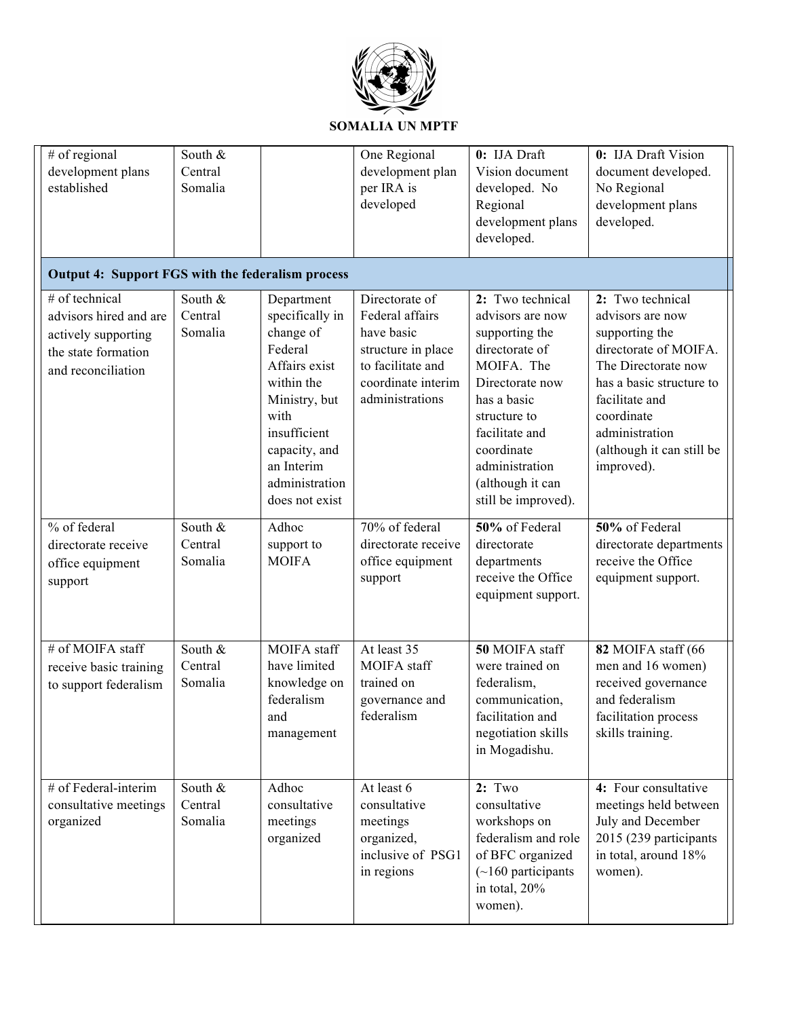

| # of regional<br>development plans<br>established                                                            | South &<br>Central<br>Somalia |                                                                                                                                                                                                  | One Regional<br>development plan<br>per IRA is<br>developed                                                                         | 0: IJA Draft<br>Vision document<br>developed. No<br>Regional<br>development plans<br>developed.                                                                                                                                       | 0: IJA Draft Vision<br>document developed.<br>No Regional<br>development plans<br>developed.                                                                                                                                    |  |  |
|--------------------------------------------------------------------------------------------------------------|-------------------------------|--------------------------------------------------------------------------------------------------------------------------------------------------------------------------------------------------|-------------------------------------------------------------------------------------------------------------------------------------|---------------------------------------------------------------------------------------------------------------------------------------------------------------------------------------------------------------------------------------|---------------------------------------------------------------------------------------------------------------------------------------------------------------------------------------------------------------------------------|--|--|
| <b>Output 4: Support FGS with the federalism process</b>                                                     |                               |                                                                                                                                                                                                  |                                                                                                                                     |                                                                                                                                                                                                                                       |                                                                                                                                                                                                                                 |  |  |
| # of technical<br>advisors hired and are<br>actively supporting<br>the state formation<br>and reconciliation | South &<br>Central<br>Somalia | Department<br>specifically in<br>change of<br>Federal<br>Affairs exist<br>within the<br>Ministry, but<br>with<br>insufficient<br>capacity, and<br>an Interim<br>administration<br>does not exist | Directorate of<br>Federal affairs<br>have basic<br>structure in place<br>to facilitate and<br>coordinate interim<br>administrations | 2: Two technical<br>advisors are now<br>supporting the<br>directorate of<br>MOIFA. The<br>Directorate now<br>has a basic<br>structure to<br>facilitate and<br>coordinate<br>administration<br>(although it can<br>still be improved). | 2: Two technical<br>advisors are now<br>supporting the<br>directorate of MOIFA.<br>The Directorate now<br>has a basic structure to<br>facilitate and<br>coordinate<br>administration<br>(although it can still be<br>improved). |  |  |
| % of federal<br>directorate receive<br>office equipment<br>support                                           | South &<br>Central<br>Somalia | Adhoc<br>support to<br><b>MOIFA</b>                                                                                                                                                              | 70% of federal<br>directorate receive<br>office equipment<br>support                                                                | 50% of Federal<br>directorate<br>departments<br>receive the Office<br>equipment support.                                                                                                                                              | 50% of Federal<br>directorate departments<br>receive the Office<br>equipment support.                                                                                                                                           |  |  |
| # of MOIFA staff<br>receive basic training<br>to support federalism                                          | South &<br>Central<br>Somalia | <b>MOIFA</b> staff<br>have limited<br>knowledge on<br>federalism<br>and<br>management                                                                                                            | At least 35<br>MOIFA staff<br>trained on<br>governance and<br>federalism                                                            | 50 MOIFA staff<br>were trained on<br>federalism,<br>communication,<br>facilitation and<br>negotiation skills<br>in Mogadishu.                                                                                                         | 82 MOIFA staff (66<br>men and 16 women)<br>received governance<br>and federalism<br>facilitation process<br>skills training.                                                                                                    |  |  |
| # of Federal-interim<br>consultative meetings<br>organized                                                   | South &<br>Central<br>Somalia | Adhoc<br>consultative<br>meetings<br>organized                                                                                                                                                   | At least 6<br>consultative<br>meetings<br>organized,<br>inclusive of PSG1<br>in regions                                             | 2: Two<br>consultative<br>workshops on<br>federalism and role<br>of BFC organized<br>$(\sim] 160$ participants<br>in total, 20%<br>women).                                                                                            | 4: Four consultative<br>meetings held between<br>July and December<br>2015 (239 participants<br>in total, around 18%<br>women).                                                                                                 |  |  |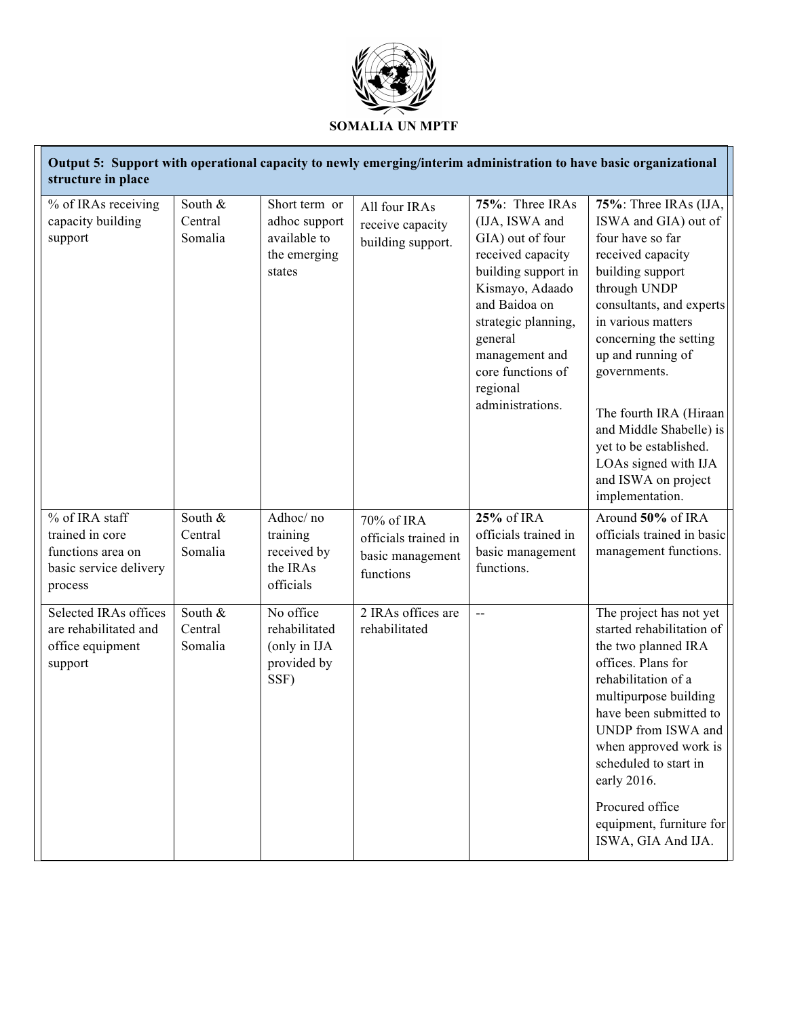

| Output 5: Support with operational capacity to newly emerging/interim administration to have basic organizational<br>structure in place |                               |                                                                          |                                                                     |                                                                                                                                                                                                                                                |                                                                                                                                                                                                                                                                                                                                                                                              |  |
|-----------------------------------------------------------------------------------------------------------------------------------------|-------------------------------|--------------------------------------------------------------------------|---------------------------------------------------------------------|------------------------------------------------------------------------------------------------------------------------------------------------------------------------------------------------------------------------------------------------|----------------------------------------------------------------------------------------------------------------------------------------------------------------------------------------------------------------------------------------------------------------------------------------------------------------------------------------------------------------------------------------------|--|
| % of IRAs receiving<br>capacity building<br>support                                                                                     | South &<br>Central<br>Somalia | Short term or<br>adhoc support<br>available to<br>the emerging<br>states | All four IRAs<br>receive capacity<br>building support.              | 75%: Three IRAs<br>(IJA, ISWA and<br>GIA) out of four<br>received capacity<br>building support in<br>Kismayo, Adaado<br>and Baidoa on<br>strategic planning,<br>general<br>management and<br>core functions of<br>regional<br>administrations. | 75%: Three IRAs (IJA,<br>ISWA and GIA) out of<br>four have so far<br>received capacity<br>building support<br>through UNDP<br>consultants, and experts<br>in various matters<br>concerning the setting<br>up and running of<br>governments.<br>The fourth IRA (Hiraan<br>and Middle Shabelle) is<br>yet to be established.<br>LOAs signed with IJA<br>and ISWA on project<br>implementation. |  |
| % of IRA staff<br>trained in core<br>functions area on<br>basic service delivery<br>process                                             | South &<br>Central<br>Somalia | Adhoc/no<br>training<br>received by<br>the IRAs<br>officials             | 70% of IRA<br>officials trained in<br>basic management<br>functions | 25% of IRA<br>officials trained in<br>basic management<br>functions.                                                                                                                                                                           | Around 50% of IRA<br>officials trained in basic<br>management functions.                                                                                                                                                                                                                                                                                                                     |  |
| Selected IRAs offices<br>are rehabilitated and<br>office equipment<br>support                                                           | South &<br>Central<br>Somalia | No office<br>rehabilitated<br>(only in IJA<br>provided by<br>SSF)        | 2 IRAs offices are<br>rehabilitated                                 | $\overline{a}$                                                                                                                                                                                                                                 | The project has not yet<br>started rehabilitation of<br>the two planned IRA<br>offices. Plans for<br>rehabilitation of a<br>multipurpose building<br>have been submitted to<br>UNDP from ISWA and<br>when approved work is<br>scheduled to start in<br>early 2016.<br>Procured office<br>equipment, furniture for<br>ISWA, GIA And IJA.                                                      |  |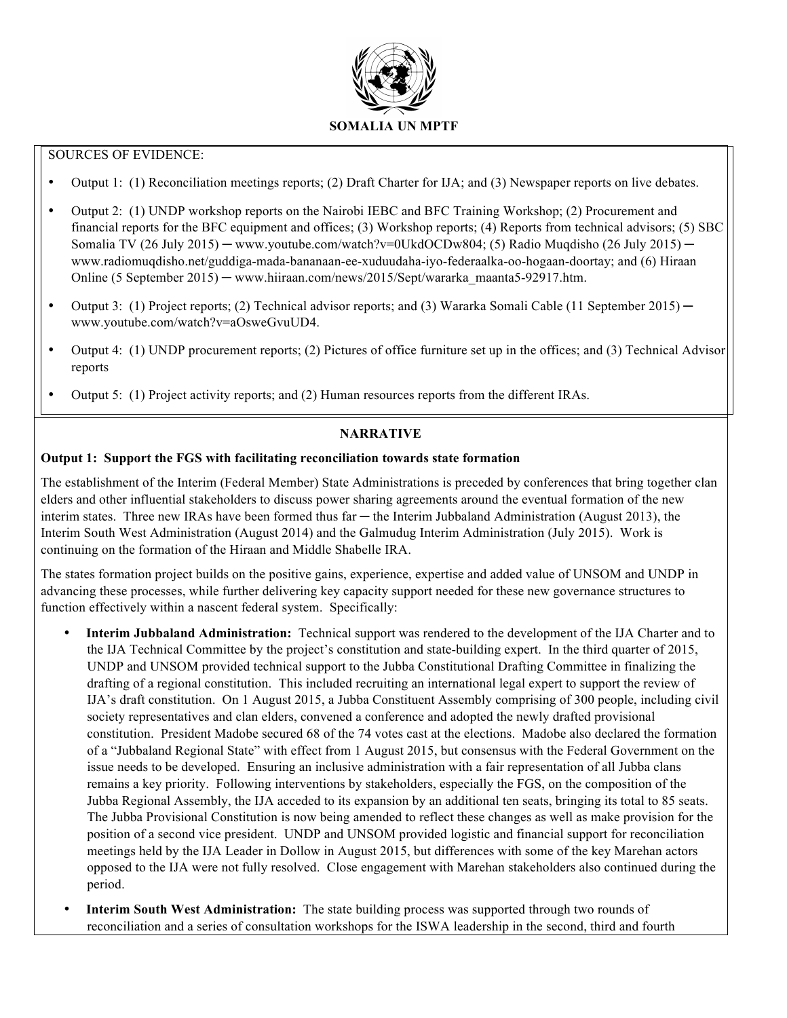

# SOURCES OF EVIDENCE:

- Output 1: (1) Reconciliation meetings reports; (2) Draft Charter for IJA; and (3) Newspaper reports on live debates.
- Output 2: (1) UNDP workshop reports on the Nairobi IEBC and BFC Training Workshop; (2) Procurement and financial reports for the BFC equipment and offices; (3) Workshop reports; (4) Reports from technical advisors; (5) SBC Somalia TV (26 July 2015) — www.youtube.com/watch?v=0UkdOCDw804; (5) Radio Muqdisho (26 July 2015) www.radiomuqdisho.net/guddiga-mada-bananaan-ee-xuduudaha-iyo-federaalka-oo-hogaan-doortay; and (6) Hiraan Online (5 September 2015) ─ www.hiiraan.com/news/2015/Sept/wararka\_maanta5-92917.htm.
- Output 3: (1) Project reports; (2) Technical advisor reports; and (3) Wararka Somali Cable (11 September 2015) www.youtube.com/watch?v=aOsweGvuUD4.
- Output 4: (1) UNDP procurement reports; (2) Pictures of office furniture set up in the offices; and (3) Technical Advisor reports
- Output 5: (1) Project activity reports; and (2) Human resources reports from the different IRAs.

# **NARRATIVE**

# **Output 1: Support the FGS with facilitating reconciliation towards state formation**

The establishment of the Interim (Federal Member) State Administrations is preceded by conferences that bring together clan elders and other influential stakeholders to discuss power sharing agreements around the eventual formation of the new interim states. Three new IRAs have been formed thus far — the Interim Jubbaland Administration (August 2013), the Interim South West Administration (August 2014) and the Galmudug Interim Administration (July 2015). Work is continuing on the formation of the Hiraan and Middle Shabelle IRA.

The states formation project builds on the positive gains, experience, expertise and added value of UNSOM and UNDP in advancing these processes, while further delivering key capacity support needed for these new governance structures to function effectively within a nascent federal system. Specifically:

- **Interim Jubbaland Administration:** Technical support was rendered to the development of the IJA Charter and to the IJA Technical Committee by the project's constitution and state-building expert. In the third quarter of 2015, UNDP and UNSOM provided technical support to the Jubba Constitutional Drafting Committee in finalizing the drafting of a regional constitution. This included recruiting an international legal expert to support the review of IJA's draft constitution. On 1 August 2015, a Jubba Constituent Assembly comprising of 300 people, including civil society representatives and clan elders, convened a conference and adopted the newly drafted provisional constitution. President Madobe secured 68 of the 74 votes cast at the elections. Madobe also declared the formation of a "Jubbaland Regional State" with effect from 1 August 2015, but consensus with the Federal Government on the issue needs to be developed. Ensuring an inclusive administration with a fair representation of all Jubba clans remains a key priority. Following interventions by stakeholders, especially the FGS, on the composition of the Jubba Regional Assembly, the IJA acceded to its expansion by an additional ten seats, bringing its total to 85 seats. The Jubba Provisional Constitution is now being amended to reflect these changes as well as make provision for the position of a second vice president. UNDP and UNSOM provided logistic and financial support for reconciliation meetings held by the IJA Leader in Dollow in August 2015, but differences with some of the key Marehan actors opposed to the IJA were not fully resolved. Close engagement with Marehan stakeholders also continued during the period.
- **Interim South West Administration:** The state building process was supported through two rounds of reconciliation and a series of consultation workshops for the ISWA leadership in the second, third and fourth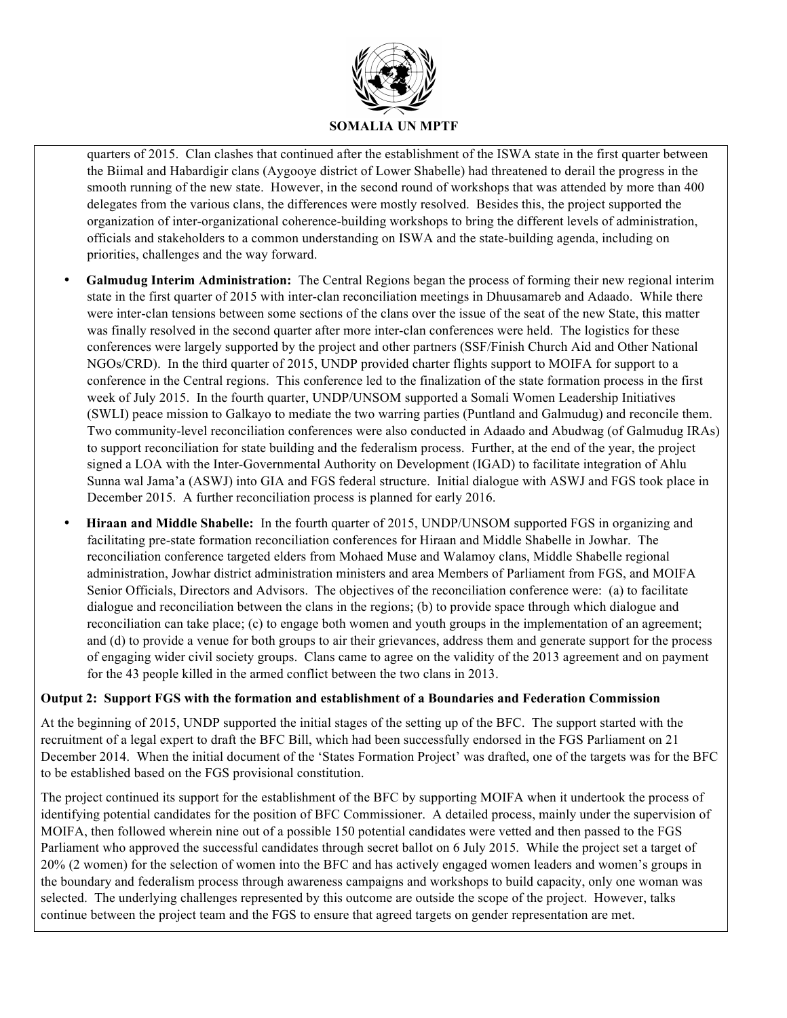

quarters of 2015. Clan clashes that continued after the establishment of the ISWA state in the first quarter between the Biimal and Habardigir clans (Aygooye district of Lower Shabelle) had threatened to derail the progress in the smooth running of the new state. However, in the second round of workshops that was attended by more than 400 delegates from the various clans, the differences were mostly resolved. Besides this, the project supported the organization of inter-organizational coherence-building workshops to bring the different levels of administration, officials and stakeholders to a common understanding on ISWA and the state-building agenda, including on priorities, challenges and the way forward.

- **Galmudug Interim Administration:** The Central Regions began the process of forming their new regional interim state in the first quarter of 2015 with inter-clan reconciliation meetings in Dhuusamareb and Adaado. While there were inter-clan tensions between some sections of the clans over the issue of the seat of the new State, this matter was finally resolved in the second quarter after more inter-clan conferences were held. The logistics for these conferences were largely supported by the project and other partners (SSF/Finish Church Aid and Other National NGOs/CRD). In the third quarter of 2015, UNDP provided charter flights support to MOIFA for support to a conference in the Central regions. This conference led to the finalization of the state formation process in the first week of July 2015. In the fourth quarter, UNDP/UNSOM supported a Somali Women Leadership Initiatives (SWLI) peace mission to Galkayo to mediate the two warring parties (Puntland and Galmudug) and reconcile them. Two community-level reconciliation conferences were also conducted in Adaado and Abudwag (of Galmudug IRAs) to support reconciliation for state building and the federalism process. Further, at the end of the year, the project signed a LOA with the Inter-Governmental Authority on Development (IGAD) to facilitate integration of Ahlu Sunna wal Jama'a (ASWJ) into GIA and FGS federal structure. Initial dialogue with ASWJ and FGS took place in December 2015. A further reconciliation process is planned for early 2016.
- **Hiraan and Middle Shabelle:** In the fourth quarter of 2015, UNDP/UNSOM supported FGS in organizing and facilitating pre-state formation reconciliation conferences for Hiraan and Middle Shabelle in Jowhar. The reconciliation conference targeted elders from Mohaed Muse and Walamoy clans, Middle Shabelle regional administration, Jowhar district administration ministers and area Members of Parliament from FGS, and MOIFA Senior Officials, Directors and Advisors. The objectives of the reconciliation conference were: (a) to facilitate dialogue and reconciliation between the clans in the regions; (b) to provide space through which dialogue and reconciliation can take place; (c) to engage both women and youth groups in the implementation of an agreement; and (d) to provide a venue for both groups to air their grievances, address them and generate support for the process of engaging wider civil society groups. Clans came to agree on the validity of the 2013 agreement and on payment for the 43 people killed in the armed conflict between the two clans in 2013.

# **Output 2: Support FGS with the formation and establishment of a Boundaries and Federation Commission**

At the beginning of 2015, UNDP supported the initial stages of the setting up of the BFC. The support started with the recruitment of a legal expert to draft the BFC Bill, which had been successfully endorsed in the FGS Parliament on 21 December 2014. When the initial document of the 'States Formation Project' was drafted, one of the targets was for the BFC to be established based on the FGS provisional constitution.

The project continued its support for the establishment of the BFC by supporting MOIFA when it undertook the process of identifying potential candidates for the position of BFC Commissioner. A detailed process, mainly under the supervision of MOIFA, then followed wherein nine out of a possible 150 potential candidates were vetted and then passed to the FGS Parliament who approved the successful candidates through secret ballot on 6 July 2015. While the project set a target of 20% (2 women) for the selection of women into the BFC and has actively engaged women leaders and women's groups in the boundary and federalism process through awareness campaigns and workshops to build capacity, only one woman was selected. The underlying challenges represented by this outcome are outside the scope of the project. However, talks continue between the project team and the FGS to ensure that agreed targets on gender representation are met.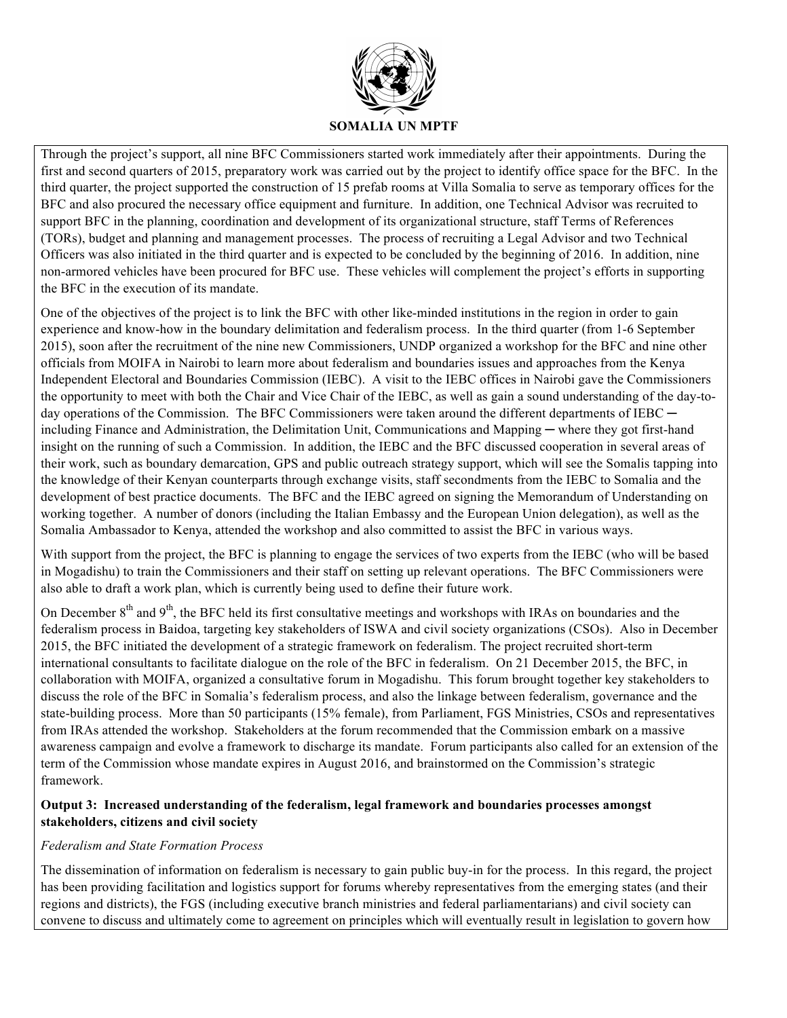

Through the project's support, all nine BFC Commissioners started work immediately after their appointments. During the first and second quarters of 2015, preparatory work was carried out by the project to identify office space for the BFC. In the third quarter, the project supported the construction of 15 prefab rooms at Villa Somalia to serve as temporary offices for the BFC and also procured the necessary office equipment and furniture. In addition, one Technical Advisor was recruited to support BFC in the planning, coordination and development of its organizational structure, staff Terms of References (TORs), budget and planning and management processes. The process of recruiting a Legal Advisor and two Technical Officers was also initiated in the third quarter and is expected to be concluded by the beginning of 2016. In addition, nine non-armored vehicles have been procured for BFC use. These vehicles will complement the project's efforts in supporting the BFC in the execution of its mandate.

One of the objectives of the project is to link the BFC with other like-minded institutions in the region in order to gain experience and know-how in the boundary delimitation and federalism process. In the third quarter (from 1-6 September 2015), soon after the recruitment of the nine new Commissioners, UNDP organized a workshop for the BFC and nine other officials from MOIFA in Nairobi to learn more about federalism and boundaries issues and approaches from the Kenya Independent Electoral and Boundaries Commission (IEBC). A visit to the IEBC offices in Nairobi gave the Commissioners the opportunity to meet with both the Chair and Vice Chair of the IEBC, as well as gain a sound understanding of the day-today operations of the Commission. The BFC Commissioners were taken around the different departments of  $IEBC$ including Finance and Administration, the Delimitation Unit, Communications and Mapping ─ where they got first-hand insight on the running of such a Commission. In addition, the IEBC and the BFC discussed cooperation in several areas of their work, such as boundary demarcation, GPS and public outreach strategy support, which will see the Somalis tapping into the knowledge of their Kenyan counterparts through exchange visits, staff secondments from the IEBC to Somalia and the development of best practice documents. The BFC and the IEBC agreed on signing the Memorandum of Understanding on working together. A number of donors (including the Italian Embassy and the European Union delegation), as well as the Somalia Ambassador to Kenya, attended the workshop and also committed to assist the BFC in various ways.

With support from the project, the BFC is planning to engage the services of two experts from the IEBC (who will be based in Mogadishu) to train the Commissioners and their staff on setting up relevant operations. The BFC Commissioners were also able to draft a work plan, which is currently being used to define their future work.

On December  $8<sup>th</sup>$  and  $9<sup>th</sup>$ , the BFC held its first consultative meetings and workshops with IRAs on boundaries and the federalism process in Baidoa, targeting key stakeholders of ISWA and civil society organizations (CSOs). Also in December 2015, the BFC initiated the development of a strategic framework on federalism. The project recruited short-term international consultants to facilitate dialogue on the role of the BFC in federalism. On 21 December 2015, the BFC, in collaboration with MOIFA, organized a consultative forum in Mogadishu. This forum brought together key stakeholders to discuss the role of the BFC in Somalia's federalism process, and also the linkage between federalism, governance and the state-building process. More than 50 participants (15% female), from Parliament, FGS Ministries, CSOs and representatives from IRAs attended the workshop. Stakeholders at the forum recommended that the Commission embark on a massive awareness campaign and evolve a framework to discharge its mandate. Forum participants also called for an extension of the term of the Commission whose mandate expires in August 2016, and brainstormed on the Commission's strategic framework.

# **Output 3: Increased understanding of the federalism, legal framework and boundaries processes amongst stakeholders, citizens and civil society**

# *Federalism and State Formation Process*

The dissemination of information on federalism is necessary to gain public buy-in for the process. In this regard, the project has been providing facilitation and logistics support for forums whereby representatives from the emerging states (and their regions and districts), the FGS (including executive branch ministries and federal parliamentarians) and civil society can convene to discuss and ultimately come to agreement on principles which will eventually result in legislation to govern how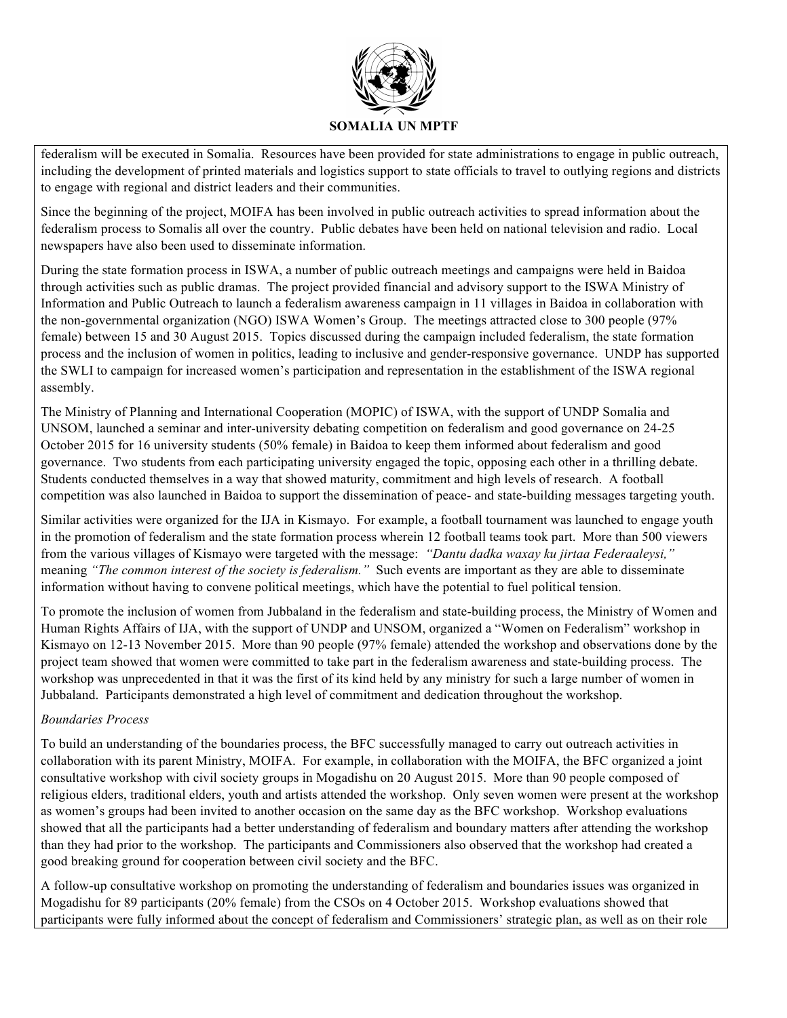

federalism will be executed in Somalia. Resources have been provided for state administrations to engage in public outreach, including the development of printed materials and logistics support to state officials to travel to outlying regions and districts to engage with regional and district leaders and their communities.

Since the beginning of the project, MOIFA has been involved in public outreach activities to spread information about the federalism process to Somalis all over the country. Public debates have been held on national television and radio. Local newspapers have also been used to disseminate information.

During the state formation process in ISWA, a number of public outreach meetings and campaigns were held in Baidoa through activities such as public dramas. The project provided financial and advisory support to the ISWA Ministry of Information and Public Outreach to launch a federalism awareness campaign in 11 villages in Baidoa in collaboration with the non-governmental organization (NGO) ISWA Women's Group. The meetings attracted close to 300 people (97% female) between 15 and 30 August 2015. Topics discussed during the campaign included federalism, the state formation process and the inclusion of women in politics, leading to inclusive and gender-responsive governance. UNDP has supported the SWLI to campaign for increased women's participation and representation in the establishment of the ISWA regional assembly.

The Ministry of Planning and International Cooperation (MOPIC) of ISWA, with the support of UNDP Somalia and UNSOM, launched a seminar and inter-university debating competition on federalism and good governance on 24-25 October 2015 for 16 university students (50% female) in Baidoa to keep them informed about federalism and good governance. Two students from each participating university engaged the topic, opposing each other in a thrilling debate. Students conducted themselves in a way that showed maturity, commitment and high levels of research. A football competition was also launched in Baidoa to support the dissemination of peace- and state-building messages targeting youth.

Similar activities were organized for the IJA in Kismayo. For example, a football tournament was launched to engage youth in the promotion of federalism and the state formation process wherein 12 football teams took part. More than 500 viewers from the various villages of Kismayo were targeted with the message: *"Dantu dadka waxay ku jirtaa Federaaleysi,"*  meaning *"The common interest of the society is federalism."* Such events are important as they are able to disseminate information without having to convene political meetings, which have the potential to fuel political tension.

To promote the inclusion of women from Jubbaland in the federalism and state-building process, the Ministry of Women and Human Rights Affairs of IJA, with the support of UNDP and UNSOM, organized a "Women on Federalism" workshop in Kismayo on 12-13 November 2015. More than 90 people (97% female) attended the workshop and observations done by the project team showed that women were committed to take part in the federalism awareness and state-building process. The workshop was unprecedented in that it was the first of its kind held by any ministry for such a large number of women in Jubbaland. Participants demonstrated a high level of commitment and dedication throughout the workshop.

# *Boundaries Process*

To build an understanding of the boundaries process, the BFC successfully managed to carry out outreach activities in collaboration with its parent Ministry, MOIFA. For example, in collaboration with the MOIFA, the BFC organized a joint consultative workshop with civil society groups in Mogadishu on 20 August 2015. More than 90 people composed of religious elders, traditional elders, youth and artists attended the workshop. Only seven women were present at the workshop as women's groups had been invited to another occasion on the same day as the BFC workshop. Workshop evaluations showed that all the participants had a better understanding of federalism and boundary matters after attending the workshop than they had prior to the workshop. The participants and Commissioners also observed that the workshop had created a good breaking ground for cooperation between civil society and the BFC.

A follow-up consultative workshop on promoting the understanding of federalism and boundaries issues was organized in Mogadishu for 89 participants (20% female) from the CSOs on 4 October 2015. Workshop evaluations showed that participants were fully informed about the concept of federalism and Commissioners' strategic plan, as well as on their role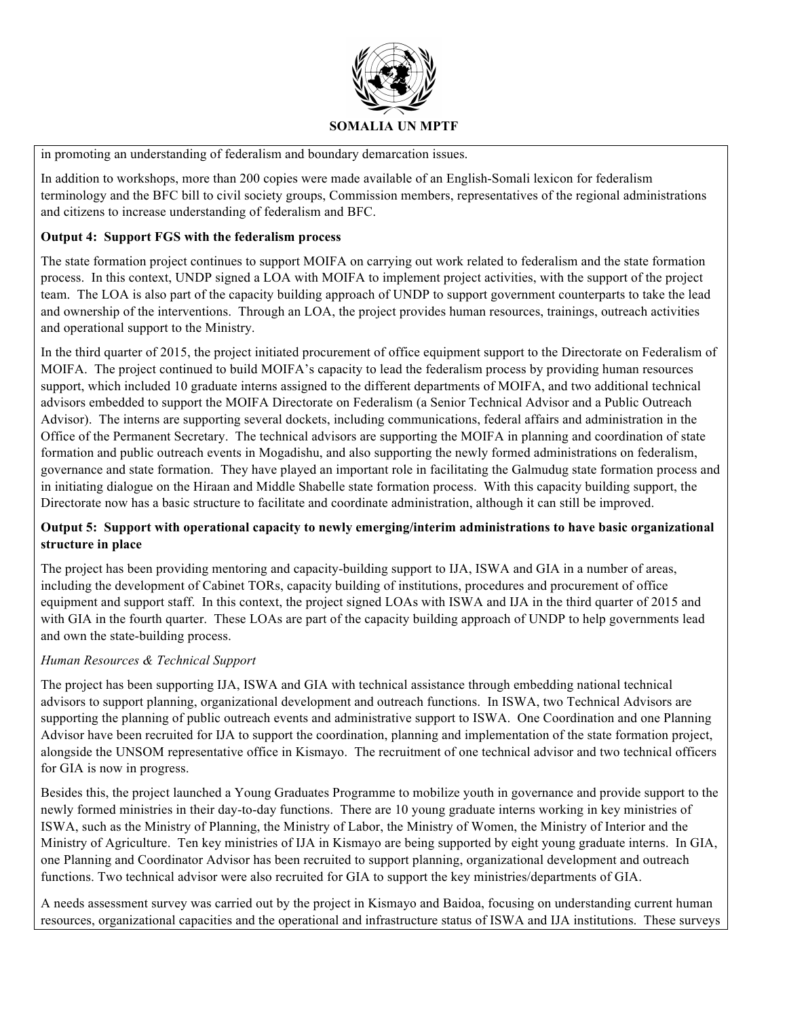

in promoting an understanding of federalism and boundary demarcation issues.

In addition to workshops, more than 200 copies were made available of an English-Somali lexicon for federalism terminology and the BFC bill to civil society groups, Commission members, representatives of the regional administrations and citizens to increase understanding of federalism and BFC.

# **Output 4: Support FGS with the federalism process**

The state formation project continues to support MOIFA on carrying out work related to federalism and the state formation process. In this context, UNDP signed a LOA with MOIFA to implement project activities, with the support of the project team. The LOA is also part of the capacity building approach of UNDP to support government counterparts to take the lead and ownership of the interventions. Through an LOA, the project provides human resources, trainings, outreach activities and operational support to the Ministry.

In the third quarter of 2015, the project initiated procurement of office equipment support to the Directorate on Federalism of MOIFA. The project continued to build MOIFA's capacity to lead the federalism process by providing human resources support, which included 10 graduate interns assigned to the different departments of MOIFA, and two additional technical advisors embedded to support the MOIFA Directorate on Federalism (a Senior Technical Advisor and a Public Outreach Advisor). The interns are supporting several dockets, including communications, federal affairs and administration in the Office of the Permanent Secretary. The technical advisors are supporting the MOIFA in planning and coordination of state formation and public outreach events in Mogadishu, and also supporting the newly formed administrations on federalism, governance and state formation. They have played an important role in facilitating the Galmudug state formation process and in initiating dialogue on the Hiraan and Middle Shabelle state formation process. With this capacity building support, the Directorate now has a basic structure to facilitate and coordinate administration, although it can still be improved.

# **Output 5: Support with operational capacity to newly emerging/interim administrations to have basic organizational structure in place**

The project has been providing mentoring and capacity-building support to IJA, ISWA and GIA in a number of areas, including the development of Cabinet TORs, capacity building of institutions, procedures and procurement of office equipment and support staff. In this context, the project signed LOAs with ISWA and IJA in the third quarter of 2015 and with GIA in the fourth quarter. These LOAs are part of the capacity building approach of UNDP to help governments lead and own the state-building process.

# *Human Resources & Technical Support*

The project has been supporting IJA, ISWA and GIA with technical assistance through embedding national technical advisors to support planning, organizational development and outreach functions. In ISWA, two Technical Advisors are supporting the planning of public outreach events and administrative support to ISWA. One Coordination and one Planning Advisor have been recruited for IJA to support the coordination, planning and implementation of the state formation project, alongside the UNSOM representative office in Kismayo. The recruitment of one technical advisor and two technical officers for GIA is now in progress.

Besides this, the project launched a Young Graduates Programme to mobilize youth in governance and provide support to the newly formed ministries in their day-to-day functions. There are 10 young graduate interns working in key ministries of ISWA, such as the Ministry of Planning, the Ministry of Labor, the Ministry of Women, the Ministry of Interior and the Ministry of Agriculture. Ten key ministries of IJA in Kismayo are being supported by eight young graduate interns. In GIA, one Planning and Coordinator Advisor has been recruited to support planning, organizational development and outreach functions. Two technical advisor were also recruited for GIA to support the key ministries/departments of GIA.

A needs assessment survey was carried out by the project in Kismayo and Baidoa, focusing on understanding current human resources, organizational capacities and the operational and infrastructure status of ISWA and IJA institutions. These surveys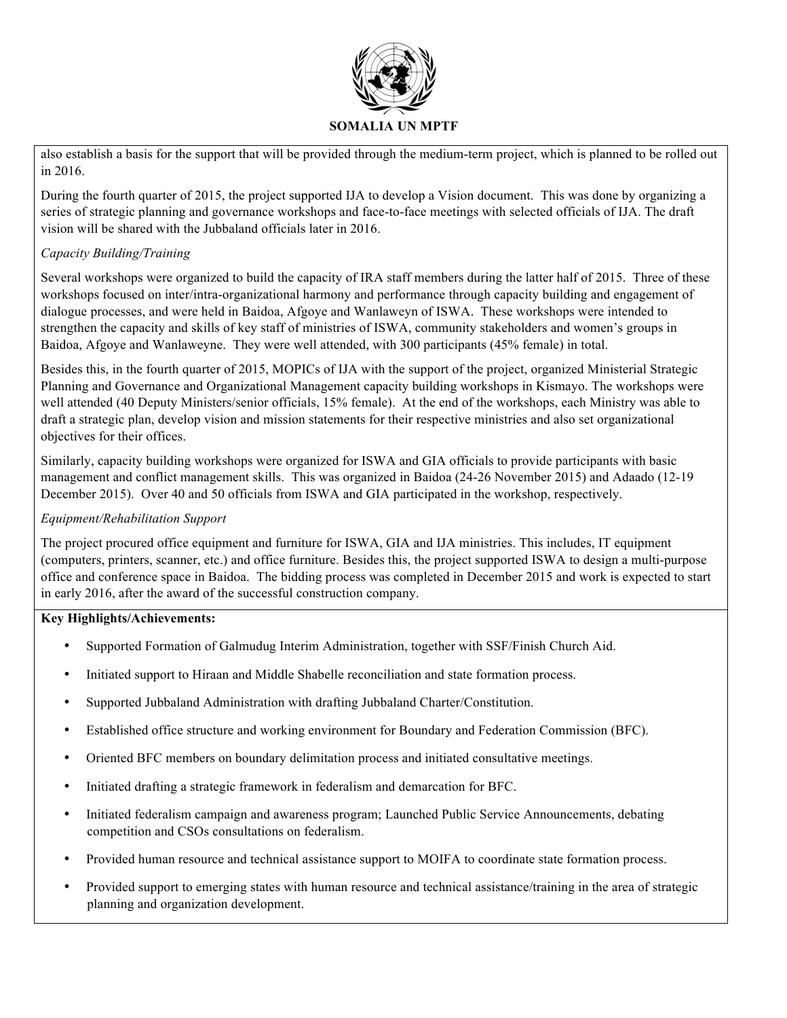

also establish a basis for the support that will be provided through the medium-term project, which is planned to be rolled out in 2016.

During the fourth quarter of 2015, the project supported IJA to develop a Vision document. This was done by organizing a series of strategic planning and governance workshops and face-to-face meetings with selected officials of IJA. The draft vision will be shared with the Jubbaland officials later in 2016.

# *Capacity Building/Training*

Several workshops were organized to build the capacity of IRA staff members during the latter half of 2015. Three of these workshops focused on inter/intra-organizational harmony and performance through capacity building and engagement of dialogue processes, and were held in Baidoa, Afgoye and Wanlaweyn of ISWA. These workshops were intended to strengthen the capacity and skills of key staff of ministries of ISWA, community stakeholders and women's groups in Baidoa, Afgoye and Wanlaweyne. They were well attended, with 300 participants (45% female) in total.

Besides this, in the fourth quarter of 2015, MOPICs of IJA with the support of the project, organized Ministerial Strategic Planning and Governance and Organizational Management capacity building workshops in Kismayo. The workshops were well attended (40 Deputy Ministers/senior officials, 15% female). At the end of the workshops, each Ministry was able to draft a strategic plan, develop vision and mission statements for their respective ministries and also set organizational objectives for their offices.

Similarly, capacity building workshops were organized for ISWA and GIA officials to provide participants with basic management and conflict management skills. This was organized in Baidoa (24-26 November 2015) and Adaado (12-19 December 2015). Over 40 and 50 officials from ISWA and GIA participated in the workshop, respectively.

# *Equipment/Rehabilitation Support*

The project procured office equipment and furniture for ISWA, GIA and IJA ministries. This includes, IT equipment (computers, printers, scanner, etc.) and office furniture. Besides this, the project supported ISWA to design a multi-purpose office and conference space in Baidoa. The bidding process was completed in December 2015 and work is expected to start in early 2016, after the award of the successful construction company.

# **Key Highlights/Achievements:**

- Supported Formation of Galmudug Interim Administration, together with SSF/Finish Church Aid.
- Initiated support to Hiraan and Middle Shabelle reconciliation and state formation process.
- Supported Jubbaland Administration with drafting Jubbaland Charter/Constitution.
- Established office structure and working environment for Boundary and Federation Commission (BFC).
- Oriented BFC members on boundary delimitation process and initiated consultative meetings.
- Initiated drafting a strategic framework in federalism and demarcation for BFC.
- Initiated federalism campaign and awareness program; Launched Public Service Announcements, debating competition and CSOs consultations on federalism.
- Provided human resource and technical assistance support to MOIFA to coordinate state formation process.
- Provided support to emerging states with human resource and technical assistance/training in the area of strategic planning and organization development.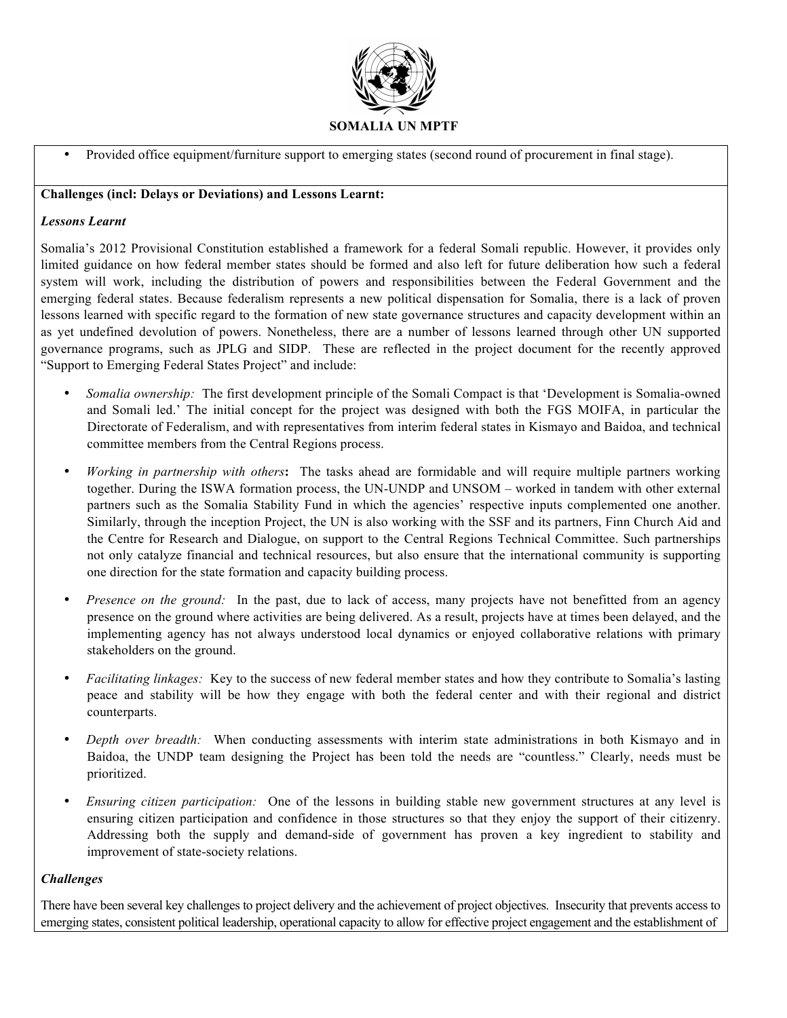

• Provided office equipment/furniture support to emerging states (second round of procurement in final stage).

#### **Challenges (incl: Delays or Deviations) and Lessons Learnt:**

#### *Lessons Learnt*

Somalia's 2012 Provisional Constitution established a framework for a federal Somali republic. However, it provides only limited guidance on how federal member states should be formed and also left for future deliberation how such a federal system will work, including the distribution of powers and responsibilities between the Federal Government and the emerging federal states. Because federalism represents a new political dispensation for Somalia, there is a lack of proven lessons learned with specific regard to the formation of new state governance structures and capacity development within an as yet undefined devolution of powers. Nonetheless, there are a number of lessons learned through other UN supported governance programs, such as JPLG and SIDP. These are reflected in the project document for the recently approved "Support to Emerging Federal States Project" and include:

- *Somalia ownership:* The first development principle of the Somali Compact is that 'Development is Somalia-owned and Somali led.' The initial concept for the project was designed with both the FGS MOIFA, in particular the Directorate of Federalism, and with representatives from interim federal states in Kismayo and Baidoa, and technical committee members from the Central Regions process.
- *Working in partnership with others***:** The tasks ahead are formidable and will require multiple partners working together. During the ISWA formation process, the UN-UNDP and UNSOM – worked in tandem with other external partners such as the Somalia Stability Fund in which the agencies' respective inputs complemented one another. Similarly, through the inception Project, the UN is also working with the SSF and its partners, Finn Church Aid and the Centre for Research and Dialogue, on support to the Central Regions Technical Committee. Such partnerships not only catalyze financial and technical resources, but also ensure that the international community is supporting one direction for the state formation and capacity building process.
- *Presence on the ground:* In the past, due to lack of access, many projects have not benefitted from an agency presence on the ground where activities are being delivered. As a result, projects have at times been delayed, and the implementing agency has not always understood local dynamics or enjoyed collaborative relations with primary stakeholders on the ground.
- *Facilitating linkages:* Key to the success of new federal member states and how they contribute to Somalia's lasting peace and stability will be how they engage with both the federal center and with their regional and district counterparts.
- *Depth over breadth:* When conducting assessments with interim state administrations in both Kismayo and in Baidoa, the UNDP team designing the Project has been told the needs are "countless." Clearly, needs must be prioritized.
- *Ensuring citizen participation:* One of the lessons in building stable new government structures at any level is ensuring citizen participation and confidence in those structures so that they enjoy the support of their citizenry. Addressing both the supply and demand-side of government has proven a key ingredient to stability and improvement of state-society relations.

# *Challenges*

There have been several key challenges to project delivery and the achievement of project objectives. Insecurity that prevents access to emerging states, consistent political leadership, operational capacity to allow for effective project engagement and the establishment of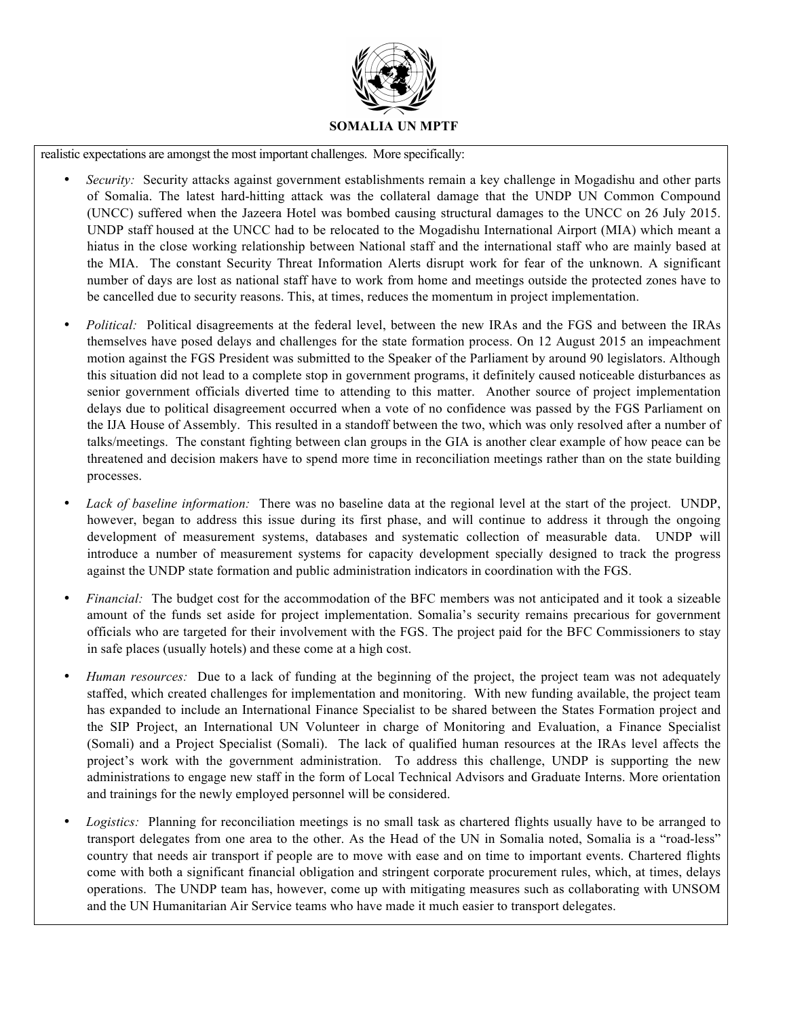

realistic expectations are amongst the most important challenges. More specifically:

- *Security:* Security attacks against government establishments remain a key challenge in Mogadishu and other parts of Somalia. The latest hard-hitting attack was the collateral damage that the UNDP UN Common Compound (UNCC) suffered when the Jazeera Hotel was bombed causing structural damages to the UNCC on 26 July 2015. UNDP staff housed at the UNCC had to be relocated to the Mogadishu International Airport (MIA) which meant a hiatus in the close working relationship between National staff and the international staff who are mainly based at the MIA. The constant Security Threat Information Alerts disrupt work for fear of the unknown. A significant number of days are lost as national staff have to work from home and meetings outside the protected zones have to be cancelled due to security reasons. This, at times, reduces the momentum in project implementation.
- *Political:* Political disagreements at the federal level, between the new IRAs and the FGS and between the IRAs themselves have posed delays and challenges for the state formation process. On 12 August 2015 an impeachment motion against the FGS President was submitted to the Speaker of the Parliament by around 90 legislators. Although this situation did not lead to a complete stop in government programs, it definitely caused noticeable disturbances as senior government officials diverted time to attending to this matter. Another source of project implementation delays due to political disagreement occurred when a vote of no confidence was passed by the FGS Parliament on the IJA House of Assembly. This resulted in a standoff between the two, which was only resolved after a number of talks/meetings. The constant fighting between clan groups in the GIA is another clear example of how peace can be threatened and decision makers have to spend more time in reconciliation meetings rather than on the state building processes.
- *Lack of baseline information:* There was no baseline data at the regional level at the start of the project. UNDP, however, began to address this issue during its first phase, and will continue to address it through the ongoing development of measurement systems, databases and systematic collection of measurable data. UNDP will introduce a number of measurement systems for capacity development specially designed to track the progress against the UNDP state formation and public administration indicators in coordination with the FGS.
- *Financial:* The budget cost for the accommodation of the BFC members was not anticipated and it took a sizeable amount of the funds set aside for project implementation. Somalia's security remains precarious for government officials who are targeted for their involvement with the FGS. The project paid for the BFC Commissioners to stay in safe places (usually hotels) and these come at a high cost.
- *Human resources:* Due to a lack of funding at the beginning of the project, the project team was not adequately staffed, which created challenges for implementation and monitoring. With new funding available, the project team has expanded to include an International Finance Specialist to be shared between the States Formation project and the SIP Project, an International UN Volunteer in charge of Monitoring and Evaluation, a Finance Specialist (Somali) and a Project Specialist (Somali). The lack of qualified human resources at the IRAs level affects the project's work with the government administration. To address this challenge, UNDP is supporting the new administrations to engage new staff in the form of Local Technical Advisors and Graduate Interns. More orientation and trainings for the newly employed personnel will be considered.
- *Logistics:* Planning for reconciliation meetings is no small task as chartered flights usually have to be arranged to transport delegates from one area to the other. As the Head of the UN in Somalia noted, Somalia is a "road-less" country that needs air transport if people are to move with ease and on time to important events. Chartered flights come with both a significant financial obligation and stringent corporate procurement rules, which, at times, delays operations. The UNDP team has, however, come up with mitigating measures such as collaborating with UNSOM and the UN Humanitarian Air Service teams who have made it much easier to transport delegates.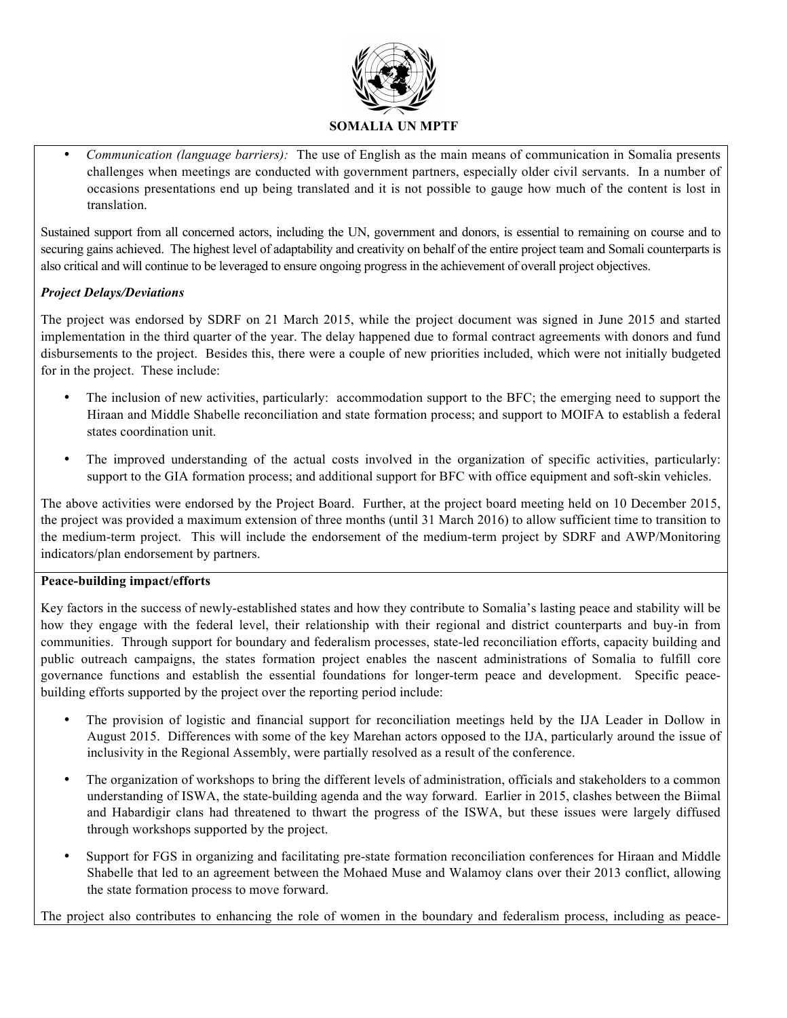

• *Communication (language barriers):* The use of English as the main means of communication in Somalia presents challenges when meetings are conducted with government partners, especially older civil servants. In a number of occasions presentations end up being translated and it is not possible to gauge how much of the content is lost in translation.

Sustained support from all concerned actors, including the UN, government and donors, is essential to remaining on course and to securing gains achieved. The highest level of adaptability and creativity on behalf of the entire project team and Somali counterparts is also critical and will continue to be leveraged to ensure ongoing progress in the achievement of overall project objectives.

# *Project Delays/Deviations*

The project was endorsed by SDRF on 21 March 2015, while the project document was signed in June 2015 and started implementation in the third quarter of the year. The delay happened due to formal contract agreements with donors and fund disbursements to the project. Besides this, there were a couple of new priorities included, which were not initially budgeted for in the project. These include:

- The inclusion of new activities, particularly: accommodation support to the BFC; the emerging need to support the Hiraan and Middle Shabelle reconciliation and state formation process; and support to MOIFA to establish a federal states coordination unit.
- The improved understanding of the actual costs involved in the organization of specific activities, particularly: support to the GIA formation process; and additional support for BFC with office equipment and soft-skin vehicles.

The above activities were endorsed by the Project Board. Further, at the project board meeting held on 10 December 2015, the project was provided a maximum extension of three months (until 31 March 2016) to allow sufficient time to transition to the medium-term project. This will include the endorsement of the medium-term project by SDRF and AWP/Monitoring indicators/plan endorsement by partners.

# **Peace-building impact/efforts**

Key factors in the success of newly-established states and how they contribute to Somalia's lasting peace and stability will be how they engage with the federal level, their relationship with their regional and district counterparts and buy-in from communities. Through support for boundary and federalism processes, state-led reconciliation efforts, capacity building and public outreach campaigns, the states formation project enables the nascent administrations of Somalia to fulfill core governance functions and establish the essential foundations for longer-term peace and development. Specific peacebuilding efforts supported by the project over the reporting period include:

- The provision of logistic and financial support for reconciliation meetings held by the IJA Leader in Dollow in August 2015. Differences with some of the key Marehan actors opposed to the IJA, particularly around the issue of inclusivity in the Regional Assembly, were partially resolved as a result of the conference.
- The organization of workshops to bring the different levels of administration, officials and stakeholders to a common understanding of ISWA, the state-building agenda and the way forward. Earlier in 2015, clashes between the Biimal and Habardigir clans had threatened to thwart the progress of the ISWA, but these issues were largely diffused through workshops supported by the project.
- Support for FGS in organizing and facilitating pre-state formation reconciliation conferences for Hiraan and Middle Shabelle that led to an agreement between the Mohaed Muse and Walamoy clans over their 2013 conflict, allowing the state formation process to move forward.

The project also contributes to enhancing the role of women in the boundary and federalism process, including as peace-